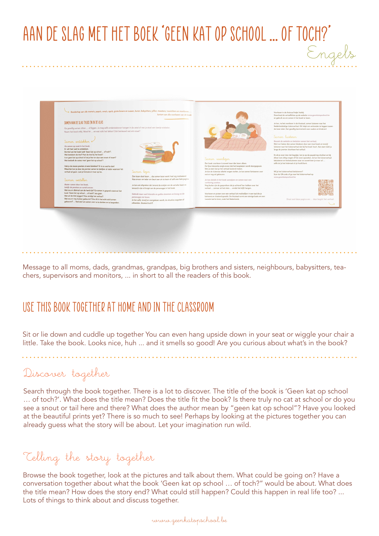# aan de slag met het boek 'Geen kat op school ... of toch?' Engels



Message to all moms, dads, grandmas, grandpas, big brothers and sisters, neighbours, babysitters, teachers, supervisors and monitors, ... in short to all the readers of this book.

### Use this book together at home and in the classroom

Sit or lie down and cuddle up together You can even hang upside down in your seat or wiggle your chair a little. Take the book. Looks nice, huh ... and it smells so good! Are you curious about what's in the book?

#### Discover together

Search through the book together. There is a lot to discover. The title of the book is 'Geen kat op school … of toch?'. What does the title mean? Does the title fit the book? Is there truly no cat at school or do you see a snout or tail here and there? What does the author mean by "geen kat op school"? Have you looked at the beautiful prints yet? There is so much to see! Perhaps by looking at the pictures together you can already guess what the story will be about. Let your imagination run wild.

Telling the story together

Browse the book together, look at the pictures and talk about them. What could be going on? Have a conversation together about what the book 'Geen kat op school … of toch?" would be about. What does the title mean? How does the story end? What could still happen? Could this happen in real life too? ... Lots of things to think about and discuss together.